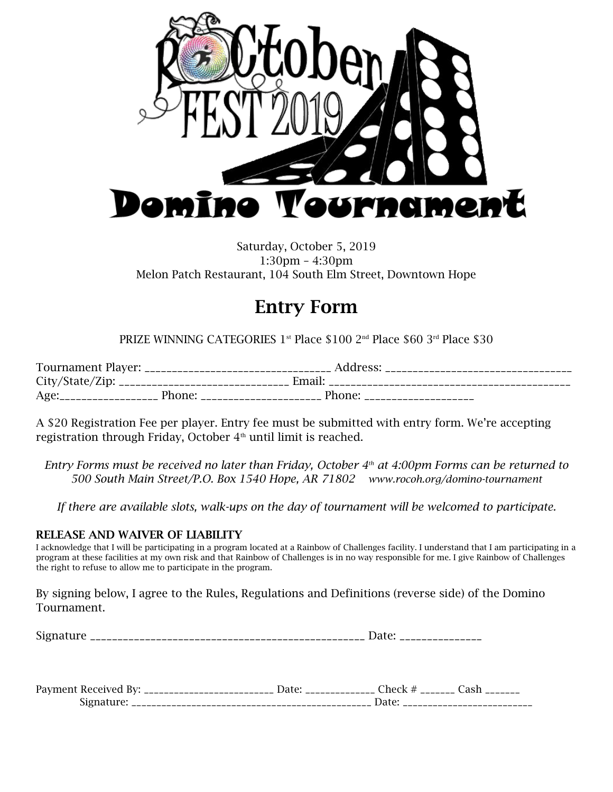

## Saturday, October 5, 2019 1:30pm – 4:30pm Melon Patch Restaurant, 104 South Elm Street, Downtown Hope

## Entry Form

PRIZE WINNING CATEGORIES 1st Place \$100 2nd Place \$60 3rd Place \$30

| Tournament Player: _                   |        | Address: |  |
|----------------------------------------|--------|----------|--|
| City/State/Zip: ______________________ |        | Email:   |  |
| Age:                                   | Phone: | Phone:   |  |

A \$20 Registration Fee per player. Entry fee must be submitted with entry form. We're accepting registration through Friday, October  $4<sup>th</sup>$  until limit is reached.

*Entry Forms must be received no later than Friday, October 4th at 4:00pm Forms can be returned to 500 South Main Street/P.O. Box 1540 Hope, AR 71802 www.rocoh.org/domino-tournament*

*If there are available slots, walk-ups on the day of tournament will be welcomed to participate.*

## RELEASE AND WAIVER OF LIABILITY

I acknowledge that I will be participating in a program located at a Rainbow of Challenges facility. I understand that I am participating in a program at these facilities at my own risk and that Rainbow of Challenges is in no way responsible for me. I give Rainbow of Challenges the right to refuse to allow me to participate in the program.

By signing below, I agree to the Rules, Regulations and Definitions (reverse side) of the Domino Tournament.

| $\sim$<br>. .<br>________________ |
|-----------------------------------|
|-----------------------------------|

| Payme<br>$11 - 1$<br>кес | $n\rho$ | ____ |
|--------------------------|---------|------|
|                          |         |      |